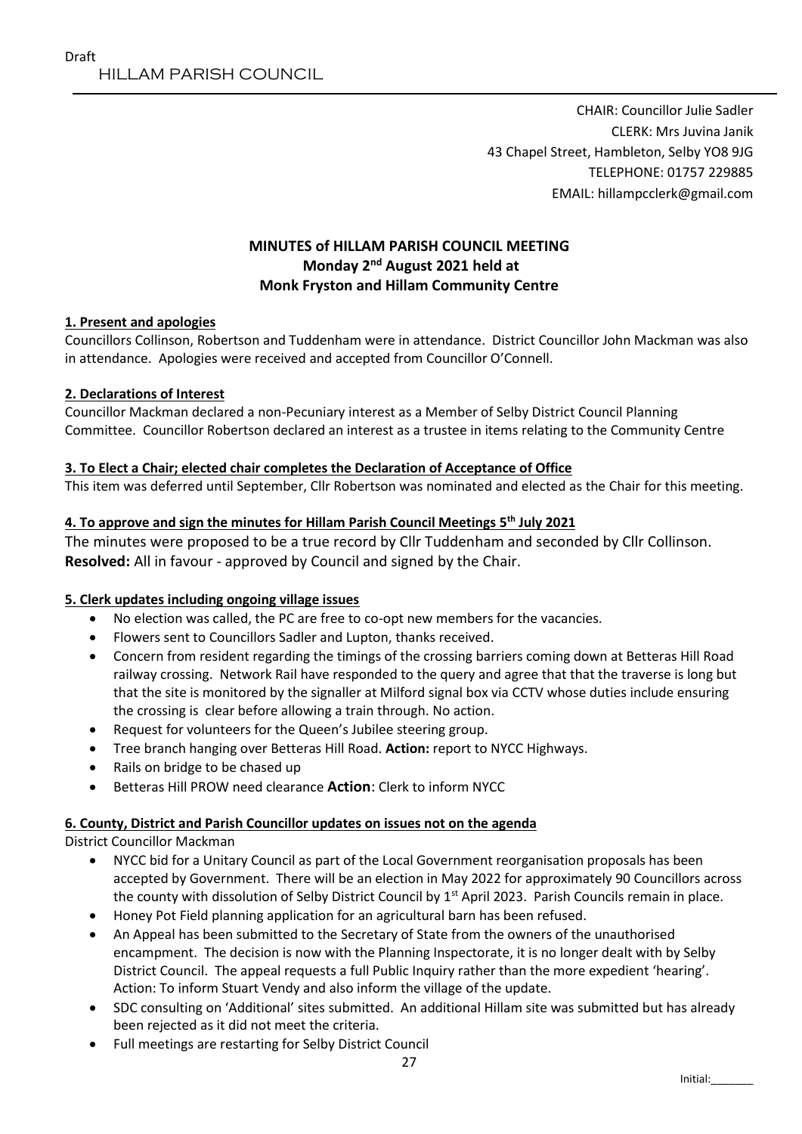CHAIR: Councillor Julie Sadler CLERK: Mrs Juvina Janik 43 Chapel Street, Hambleton, Selby YO8 9JG TELEPHONE: 01757 229885 EMAIL: hillampcclerk@gmail.com

# **MINUTES of HILLAM PARISH COUNCIL MEETING Monday 2 nd August 2021 held at Monk Fryston and Hillam Community Centre**

### **1. Present and apologies**

Councillors Collinson, Robertson and Tuddenham were in attendance. District Councillor John Mackman was also in attendance. Apologies were received and accepted from Councillor O'Connell.

#### **2. Declarations of Interest**

Councillor Mackman declared a non-Pecuniary interest as a Member of Selby District Council Planning Committee. Councillor Robertson declared an interest as a trustee in items relating to the Community Centre

#### **3. To Elect a Chair; elected chair completes the Declaration of Acceptance of Office**

This item was deferred until September, Cllr Robertson was nominated and elected as the Chair for this meeting.

### **4. To approve and sign the minutes for Hillam Parish Council Meetings 5 th July 2021**

The minutes were proposed to be a true record by Cllr Tuddenham and seconded by Cllr Collinson. **Resolved:** All in favour - approved by Council and signed by the Chair.

#### **5. Clerk updates including ongoing village issues**

- No election was called, the PC are free to co-opt new members for the vacancies.
- Flowers sent to Councillors Sadler and Lupton, thanks received.
- Concern from resident regarding the timings of the crossing barriers coming down at Betteras Hill Road railway crossing. Network Rail have responded to the query and agree that that the traverse is long but that the site is monitored by the signaller at Milford signal box via CCTV whose duties include ensuring the crossing is clear before allowing a train through. No action.
- Request for volunteers for the Queen's Jubilee steering group.
- Tree branch hanging over Betteras Hill Road. **Action:** report to NYCC Highways.
- Rails on bridge to be chased up
- Betteras Hill PROW need clearance **Action**: Clerk to inform NYCC

#### **6. County, District and Parish Councillor updates on issues not on the agenda**

District Councillor Mackman

- NYCC bid for a Unitary Council as part of the Local Government reorganisation proposals has been accepted by Government. There will be an election in May 2022 for approximately 90 Councillors across the county with dissolution of Selby District Council by 1<sup>st</sup> April 2023. Parish Councils remain in place.
- Honey Pot Field planning application for an agricultural barn has been refused.
- An Appeal has been submitted to the Secretary of State from the owners of the unauthorised encampment. The decision is now with the Planning Inspectorate, it is no longer dealt with by Selby District Council. The appeal requests a full Public Inquiry rather than the more expedient 'hearing'. Action: To inform Stuart Vendy and also inform the village of the update.
- SDC consulting on 'Additional' sites submitted. An additional Hillam site was submitted but has already been rejected as it did not meet the criteria.
- Full meetings are restarting for Selby District Council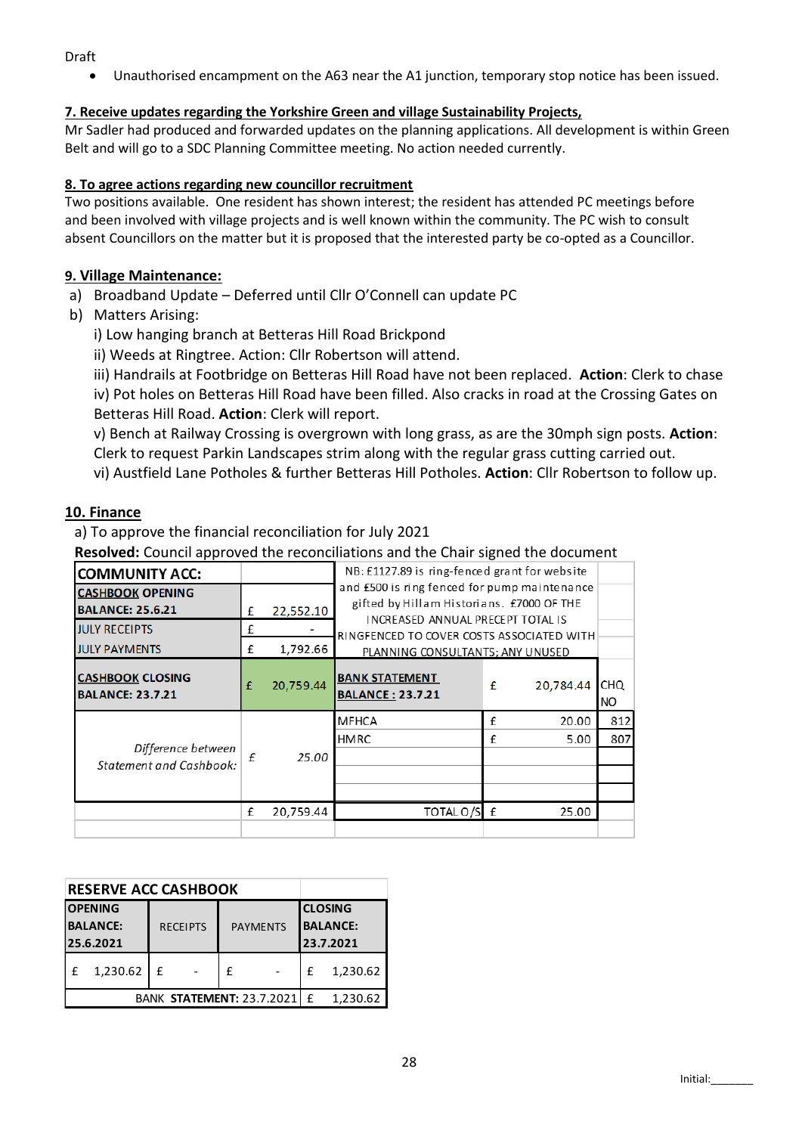Draft

Unauthorised encampment on the A63 near the A1 junction, temporary stop notice has been issued.

## **7. Receive updates regarding the Yorkshire Green and village Sustainability Projects,**

Mr Sadler had produced and forwarded updates on the planning applications. All development is within Green Belt and will go to a SDC Planning Committee meeting. No action needed currently.

### **8. To agree actions regarding new councillor recruitment**

Two positions available. One resident has shown interest; the resident has attended PC meetings before and been involved with village projects and is well known within the community. The PC wish to consult absent Councillors on the matter but it is proposed that the interested party be co-opted as a Councillor.

## **9. Village Maintenance:**

- a) Broadband Update Deferred until Cllr O'Connell can update PC
- b) Matters Arising:
	- i) Low hanging branch at Betteras Hill Road Brickpond
	- ii) Weeds at Ringtree. Action: Cllr Robertson will attend.
	- iii) Handrails at Footbridge on Betteras Hill Road have not been replaced. **Action**: Clerk to chase iv) Pot holes on Betteras Hill Road have been filled. Also cracks in road at the Crossing Gates on

Betteras Hill Road. **Action**: Clerk will report.

v) Bench at Railway Crossing is overgrown with long grass, as are the 30mph sign posts. **Action**: Clerk to request Parkin Landscapes strim along with the regular grass cutting carried out.

vi) Austfield Lane Potholes & further Betteras Hill Potholes. **Action**: Cllr Robertson to follow up.

## **10. Finance**

a) To approve the financial reconciliation for July 2021

**Resolved:** Council approved the reconciliations and the Chair signed the document

| <b>COMMUNITY ACC:</b>                                |   |           | NB: £1127.89 is ring-fenced grant for website                                                                      |   |           |                         |  |
|------------------------------------------------------|---|-----------|--------------------------------------------------------------------------------------------------------------------|---|-----------|-------------------------|--|
| <b>CASHBOOK OPENING</b>                              |   |           | and £500 is ring fenced for pump maintenance                                                                       |   |           |                         |  |
| <b>BALANCE: 25.6.21</b>                              | £ | 22,552.10 | gifted by Hillam Historians. £7000 OF THE                                                                          |   |           |                         |  |
| <b>JULY RECEIPTS</b>                                 | f |           | INCREASED ANNUAL PRECEPT TOTAL IS<br>RINGFENCED TO COVER COSTS ASSOCIATED WITH<br>PLANNING CONSULTANTS; ANY UNUSED |   |           |                         |  |
| <b>JULY PAYMENTS</b>                                 | £ | 1,792.66  |                                                                                                                    |   |           |                         |  |
| <b>CASHBOOK CLOSING</b><br><b>BALANCE: 23.7.21</b>   | £ | 20,759.44 | <b>BANK STATEMENT</b><br><b>BALANCE: 23.7.21</b>                                                                   | £ | 20.784.44 | <b>CHQ</b><br><b>NO</b> |  |
| Difference between<br><b>Statement and Cashbook:</b> | f | 25.00     | <b>MFHCA</b>                                                                                                       | £ | 20.00     | 812                     |  |
|                                                      |   |           | <b>HMRC</b>                                                                                                        | £ | 5.00      | 807                     |  |
|                                                      |   |           |                                                                                                                    |   |           |                         |  |
|                                                      |   |           |                                                                                                                    |   |           |                         |  |
|                                                      |   |           |                                                                                                                    |   |           |                         |  |
|                                                      | £ | 20,759.44 | TOTAL O/S E                                                                                                        |   | 25.00     |                         |  |
|                                                      |   |           |                                                                                                                    |   |           |                         |  |

| <b>RESERVE ACC CASHBOOK</b>                    |          |                                    |  |                                                |              |          |          |
|------------------------------------------------|----------|------------------------------------|--|------------------------------------------------|--------------|----------|----------|
| <b>OPENING</b><br><b>BALANCE:</b><br>25.6.2021 |          | <b>RECEIPTS</b><br><b>PAYMENTS</b> |  | <b>CLOSING</b><br><b>BALANCE:</b><br>23.7.2021 |              |          |          |
|                                                | 1,230.62 | f                                  |  | f                                              |              | f        | 1,230.62 |
| <b>BANK STATEMENT: 23.7.2021</b>               |          |                                    |  |                                                | $\mathbf{f}$ | 1,230.62 |          |